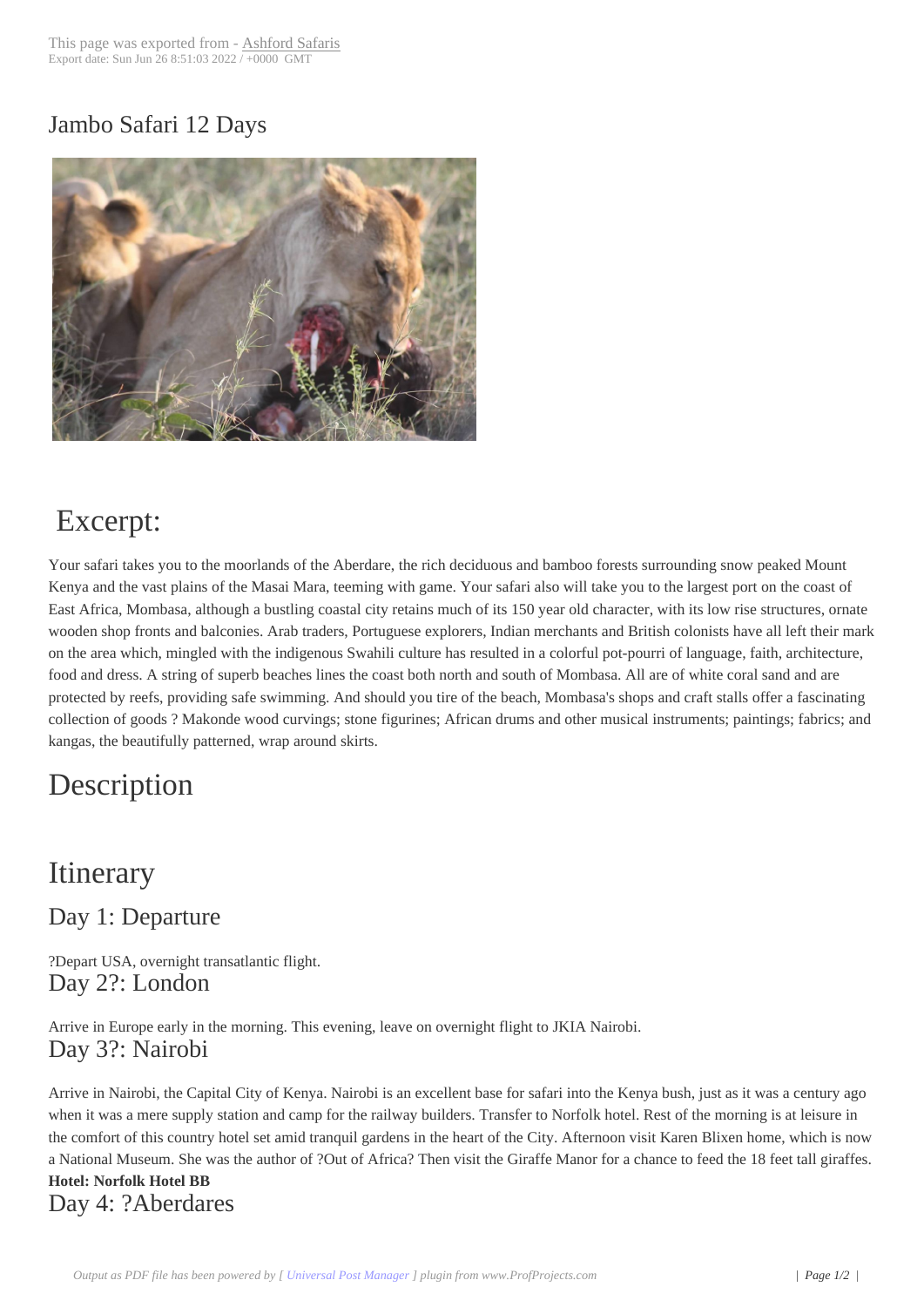### Jambo Safari 12 D[ays](http://192.81.129.179/?post_type=product&p=451)



# Excerpt:

Your safari takes you to the moorlands of the Aberdare, the rich deciduous and bamboo forests surrounding snow peaked Mount Kenya and the vast plains of the Masai Mara, teeming with game. Your safari also will take you to the largest port on the coast of East Africa, Mombasa, although a bustling coastal city retains much of its 150 year old character, with its low rise structures, ornate wooden shop fronts and balconies. Arab traders, Portuguese explorers, Indian merchants and British colonists have all left their mark on the area which, mingled with the indigenous Swahili culture has resulted in a colorful pot-pourri of language, faith, architecture, food and dress. A string of superb beaches lines the coast both north and south of Mombasa. All are of white coral sand and are protected by reefs, providing safe swimming. And should you tire of the beach, Mombasa's shops and craft stalls offer a fascinating collection of goods ? Makonde wood curvings; stone figurines; African drums and other musical instruments; paintings; fabrics; and kangas, the beautifully patterned, wrap around skirts.

# Description

## **Itinerary**

Day 1: Departure

?Depart USA, overnight transatlantic flight. Day 2?: London

Arrive in Europe early in the morning. This evening, leave on overnight flight to JKIA Nairobi. Day 3?: Nairobi

Arrive in Nairobi, the Capital City of Kenya. Nairobi is an excellent base for safari into the Kenya bush, just as it was a century ago when it was a mere supply station and camp for the railway builders. Transfer to Norfolk hotel. Rest of the morning is at leisure in the comfort of this country hotel set amid tranquil gardens in the heart of the City. Afternoon visit Karen Blixen home, which is now a National Museum. She was the author of ?Out of Africa? Then visit the Giraffe Manor for a chance to feed the 18 feet tall giraffes. **Hotel: Norfolk Hotel BB** Day 4: ?Aberdares